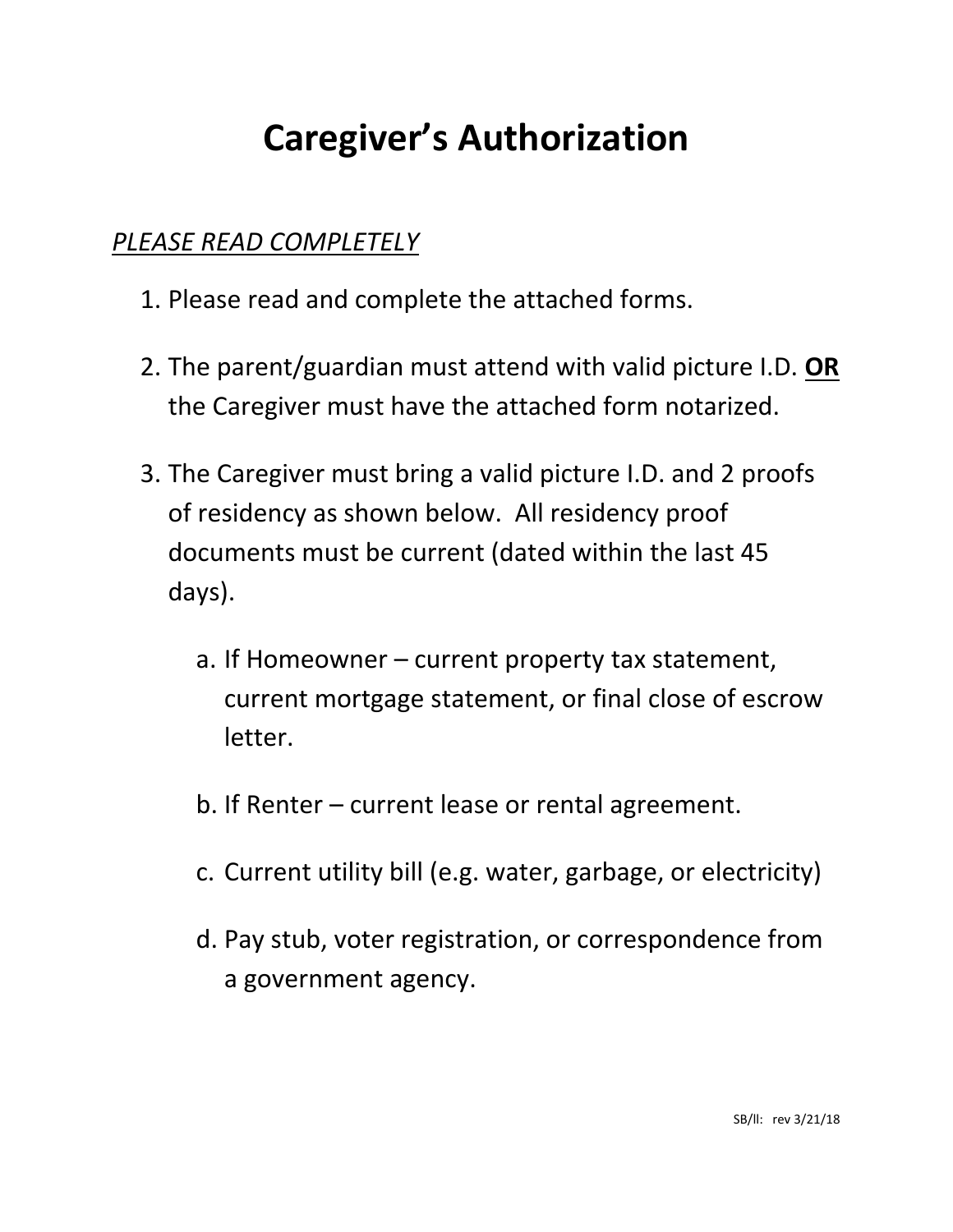# **Caregiver's Authorization**

## *PLEASE READ COMPLETELY*

- 1. Please read and complete the attached forms.
- 2. The parent/guardian must attend with valid picture I.D. **OR** the Caregiver must have the attached form notarized.
- 3. The Caregiver must bring a valid picture I.D. and 2 proofs of residency as shown below. All residency proof documents must be current (dated within the last 45 days).
	- a. If Homeowner current property tax statement, current mortgage statement, or final close of escrow letter.
	- b. If Renter current lease or rental agreement.
	- c. Current utility bill (e.g. water, garbage, or electricity)
	- d. Pay stub, voter registration, or correspondence from a government agency.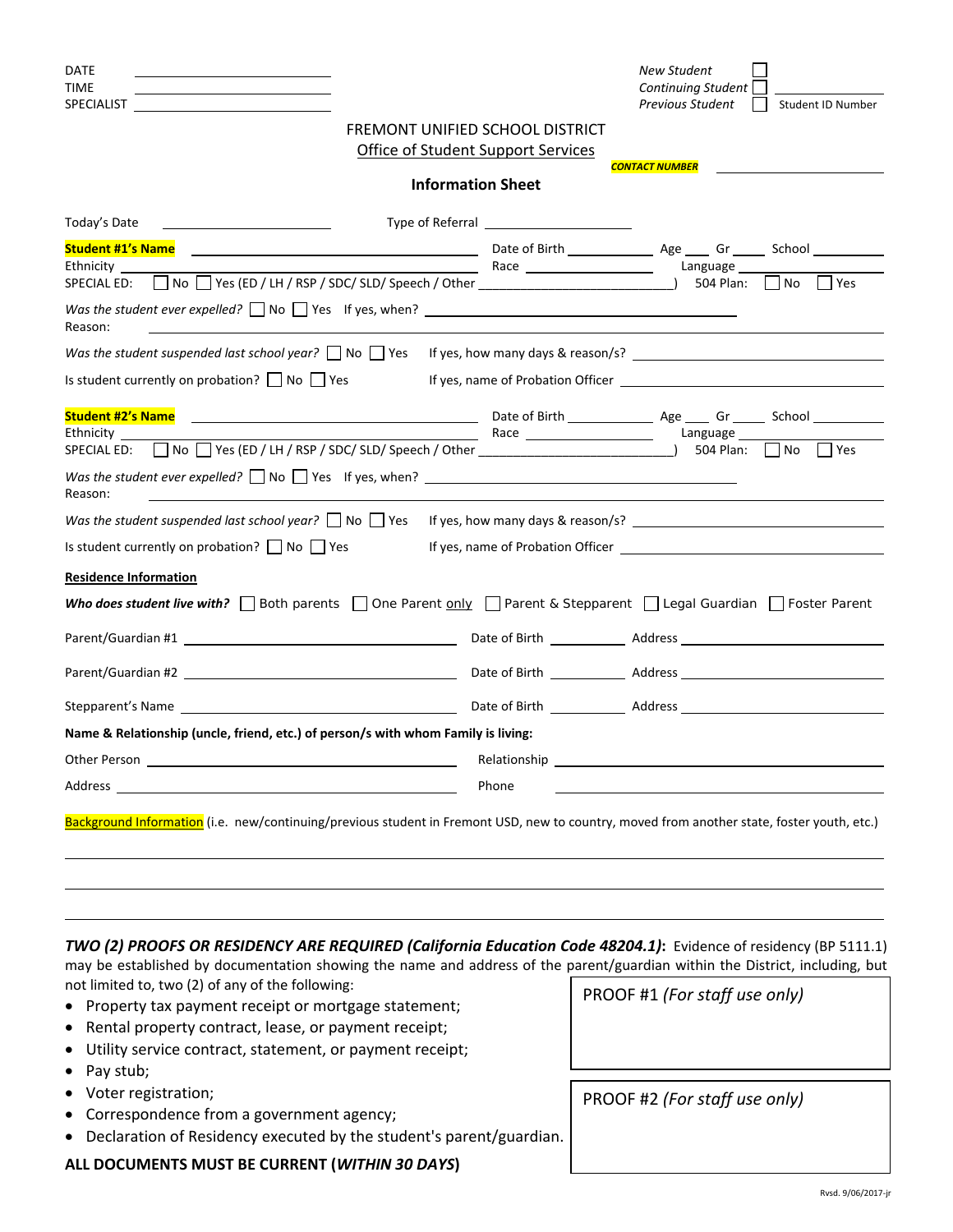| DATE<br><b>TIME</b><br><b>SPECIALIST</b>                                                                                                                                                                                       |                                                    |                                            | New Student<br><b>Continuing Student</b><br>Previous Student<br>Student ID Number                                                            |
|--------------------------------------------------------------------------------------------------------------------------------------------------------------------------------------------------------------------------------|----------------------------------------------------|--------------------------------------------|----------------------------------------------------------------------------------------------------------------------------------------------|
|                                                                                                                                                                                                                                | FREMONT UNIFIED SCHOOL DISTRICT                    |                                            |                                                                                                                                              |
|                                                                                                                                                                                                                                | <b>Office of Student Support Services</b>          |                                            |                                                                                                                                              |
|                                                                                                                                                                                                                                | <b>Information Sheet</b>                           |                                            | <b>CONTACT NUMBER</b>                                                                                                                        |
| Today's Date                                                                                                                                                                                                                   |                                                    | Type of Referral and the state of Referral |                                                                                                                                              |
| <b>Student #1's Name</b>                                                                                                                                                                                                       | <u> 1980 - Jan Barbara Barbara, manazarta da k</u> |                                            |                                                                                                                                              |
| Ethnicity                                                                                                                                                                                                                      |                                                    |                                            | Language                                                                                                                                     |
| No T Yes (ED / LH / RSP / SDC/ SLD/ Speech / Other _____________________________<br><b>SPECIAL ED:</b>                                                                                                                         |                                                    |                                            | 504 Plan:<br>  Yes<br>  No                                                                                                                   |
| Was the student ever expelled? $\Box$ No $\Box$ Yes if yes, when? $\Box$<br>Reason:                                                                                                                                            |                                                    |                                            |                                                                                                                                              |
|                                                                                                                                                                                                                                |                                                    |                                            | Was the student suspended last school year? $ \cdot $ No $ \cdot $ Yes If yes, how many days & reason/s?                                     |
| Is student currently on probation? $\vert$   No $\vert$   Yes                                                                                                                                                                  |                                                    |                                            |                                                                                                                                              |
| <b>Student #2's Name</b><br>Ethnicity<br>No J Yes (ED / LH / RSP / SDC/ SLD/ Speech / Other ______________________________<br><b>SPECIAL ED:</b>                                                                               |                                                    |                                            | Language<br>504 Plan:<br>No.<br>I l Yes                                                                                                      |
| Was the student ever expelled? $\Box$ No $\Box$ Yes if yes, when?<br>Reason:                                                                                                                                                   |                                                    |                                            |                                                                                                                                              |
|                                                                                                                                                                                                                                |                                                    |                                            | Was the student suspended last school year? $ \cdot $ No $ \cdot $ Yes If yes, how many days & reason/s?                                     |
| Is student currently on probation? $\Box$ No $\Box$ Yes                                                                                                                                                                        |                                                    |                                            |                                                                                                                                              |
| <b>Residence Information</b>                                                                                                                                                                                                   |                                                    |                                            |                                                                                                                                              |
|                                                                                                                                                                                                                                |                                                    |                                            | Who does student live with? $\Box$ Both parents $\Box$ One Parent only $\Box$ Parent & Stepparent $\Box$ Legal Guardian $\Box$ Foster Parent |
|                                                                                                                                                                                                                                |                                                    |                                            |                                                                                                                                              |
|                                                                                                                                                                                                                                |                                                    |                                            |                                                                                                                                              |
| Stepparent's Name and the state of the state of the state of the state of the state of the state of the state o                                                                                                                |                                                    |                                            |                                                                                                                                              |
| Name & Relationship (uncle, friend, etc.) of person/s with whom Family is living:                                                                                                                                              |                                                    |                                            |                                                                                                                                              |
|                                                                                                                                                                                                                                |                                                    |                                            |                                                                                                                                              |
| Address and the contract of the contract of the contract of the contract of the contract of the contract of the contract of the contract of the contract of the contract of the contract of the contract of the contract of th |                                                    | Phone                                      |                                                                                                                                              |
|                                                                                                                                                                                                                                |                                                    |                                            | Background Information (i.e. new/continuing/previous student in Fremont USD, new to country, moved from another state, foster youth, etc.)   |

*TWO (2) PROOFS OR RESIDENCY ARE REQUIRED (California Education Code 48204.1)***:** Evidence of residency (BP 5111.1) may be established by documentation showing the name and address of the parent/guardian within the District, including, but not limited to, two (2) of any of the following:

<u> 1989 - Andrea San Andrew Maria (h. 1989).</u><br>2001 - Maria San Andrew Maria (h. 1989).

- Property tax payment receipt or mortgage statement;
- Rental property contract, lease, or payment receipt;
- Utility service contract, statement, or payment receipt;
- Pay stub;
- Voter registration;
- Correspondence from a government agency;
- Declaration of Residency executed by the student's parent/guardian.

#### **ALL DOCUMENTS MUST BE CURRENT (***WITHIN 30 DAYS***)**

PROOF #1 *(For staff use only)*

PROOF #2 *(For staff use only)*